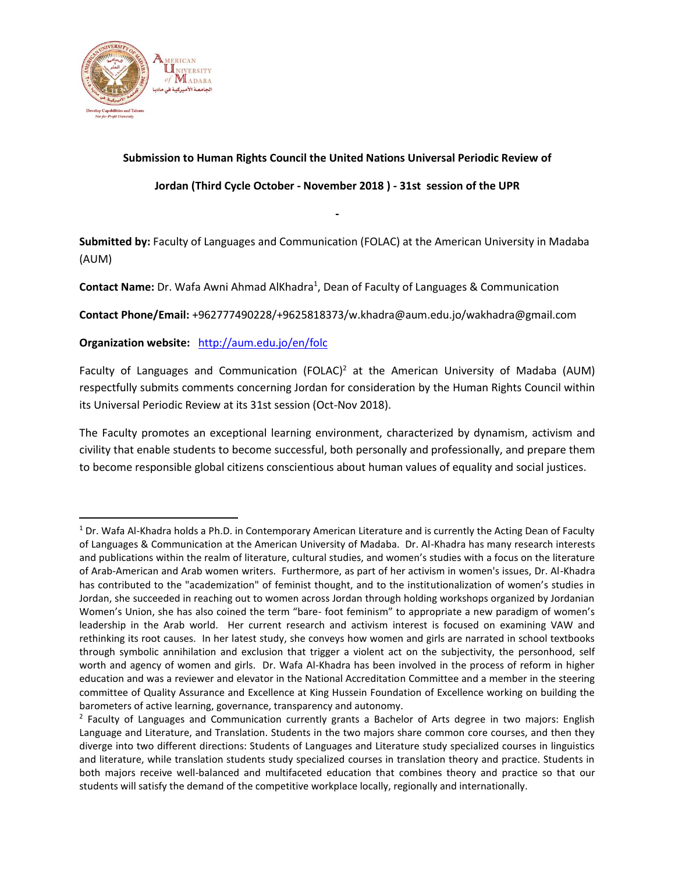

l

# **Submission to Human Rights Council the United Nations Universal Periodic Review of**

**Jordan (Third Cycle October - November 2018 ) - 31st session of the UPR**

**-**

**Submitted by:** Faculty of Languages and Communication (FOLAC) at the American University in Madaba (AUM)

Contact Name: Dr. Wafa Awni Ahmad AlKhadra<sup>1</sup>, Dean of Faculty of Languages & Communication

**Contact Phone/Email:** +962777490228/+9625818373/w.khadra@aum.edu.jo/wakhadra@gmail.com

**Organization website:** <http://aum.edu.jo/en/folc>

Faculty of Languages and Communication (FOLAC)<sup>2</sup> at the American University of Madaba (AUM) respectfully submits comments concerning Jordan for consideration by the Human Rights Council within its Universal Periodic Review at its 31st session (Oct-Nov 2018).

The Faculty promotes an exceptional learning environment, characterized by dynamism, activism and civility that enable students to become successful, both personally and professionally, and prepare them to become responsible global citizens conscientious about human values of equality and social justices.

 $1$  Dr. Wafa Al-Khadra holds a Ph.D. in Contemporary American Literature and is currently the Acting Dean of Faculty of Languages & Communication at the American University of Madaba. Dr. Al-Khadra has many research interests and publications within the realm of literature, cultural studies, and women's studies with a focus on the literature of Arab-American and Arab women writers. Furthermore, as part of her activism in women's issues, Dr. Al-Khadra has contributed to the "academization" of feminist thought, and to the institutionalization of women's studies in Jordan, she succeeded in reaching out to women across Jordan through holding workshops organized by Jordanian Women's Union, she has also coined the term "bare- foot feminism" to appropriate a new paradigm of women's leadership in the Arab world. Her current research and activism interest is focused on examining VAW and rethinking its root causes. In her latest study, she conveys how women and girls are narrated in school textbooks through symbolic annihilation and exclusion that trigger a violent act on the subjectivity, the personhood, self worth and agency of women and girls. Dr. Wafa Al-Khadra has been involved in the process of reform in higher education and was a reviewer and elevator in the National Accreditation Committee and a member in the steering committee of Quality Assurance and Excellence at King Hussein Foundation of Excellence working on building the barometers of active learning, governance, transparency and autonomy.

<sup>&</sup>lt;sup>2</sup> Faculty of Languages and Communication currently grants a Bachelor of Arts degree in two majors: English Language and Literature, and Translation. Students in the two majors share common core courses, and then they diverge into two different directions: Students of Languages and Literature study specialized courses in linguistics and literature, while translation students study specialized courses in translation theory and practice. Students in both majors receive well-balanced and multifaceted education that combines theory and practice so that our students will satisfy the demand of the competitive workplace locally, regionally and internationally.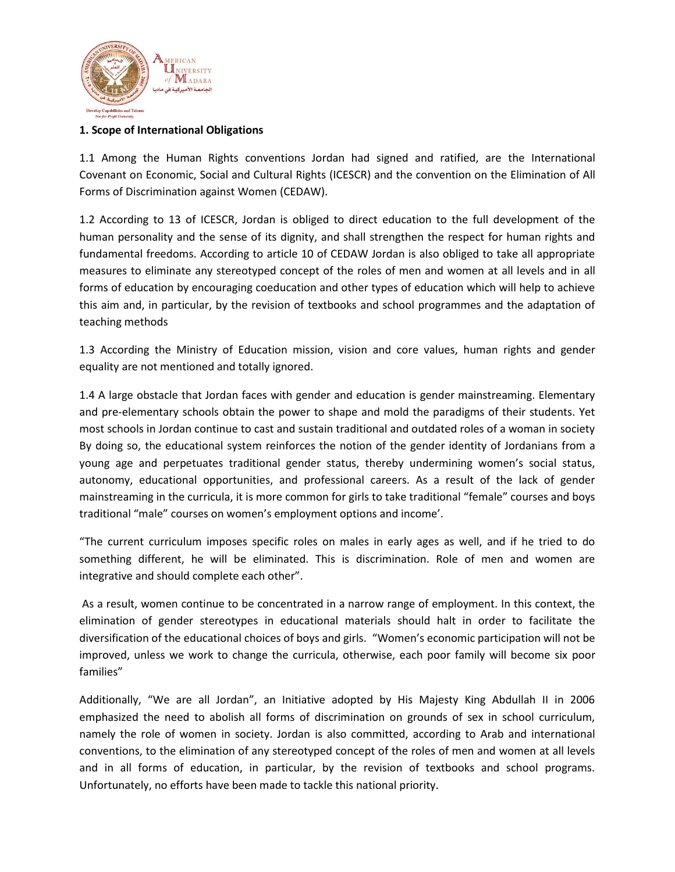

## **1. Scope of International Obligations**

1.1 Among the Human Rights conventions Jordan had signed and ratified, are the International Covenant on Economic, Social and Cultural Rights (ICESCR) and the convention on the Elimination of All Forms of Discrimination against Women (CEDAW).

1.2 According to 13 of ICESCR, Jordan is obliged to direct education to the full development of the human personality and the sense of its dignity, and shall strengthen the respect for human rights and fundamental freedoms. According to article 10 of CEDAW Jordan is also obliged to take all appropriate measures to eliminate any stereotyped concept of the roles of men and women at all levels and in all forms of education by encouraging coeducation and other types of education which will help to achieve this aim and, in particular, by the revision of textbooks and school programmes and the adaptation of teaching methods

1.3 According the Ministry of Education mission, vision and core values, human rights and gender equality are not mentioned and totally ignored.

1.4 A large obstacle that Jordan faces with gender and education is gender mainstreaming. Elementary and pre-elementary schools obtain the power to shape and mold the paradigms of their students. Yet most schools in Jordan continue to cast and sustain traditional and outdated roles of a woman in society By doing so, the educational system reinforces the notion of the gender identity of Jordanians from a young age and perpetuates traditional gender status, thereby undermining women's social status, autonomy, educational opportunities, and professional careers. As a result of the lack of gender mainstreaming in the curricula, it is more common for girls to take traditional "female" courses and boys traditional "male" courses on women's employment options and income'.

"The current curriculum imposes specific roles on males in early ages as well, and if he tried to do something different, he will be eliminated. This is discrimination. Role of men and women are integrative and should complete each other".

As a result, women continue to be concentrated in a narrow range of employment. In this context, the elimination of gender stereotypes in educational materials should halt in order to facilitate the diversification of the educational choices of boys and girls. "Women's economic participation will not be improved, unless we work to change the curricula, otherwise, each poor family will become six poor families"

Additionally, "We are all Jordan", an Initiative adopted by His Majesty King Abdullah II in 2006 emphasized the need to abolish all forms of discrimination on grounds of sex in school curriculum, namely the role of women in society. Jordan is also committed, according to Arab and international conventions, to the elimination of any stereotyped concept of the roles of men and women at all levels and in all forms of education, in particular, by the revision of textbooks and school programs. Unfortunately, no efforts have been made to tackle this national priority.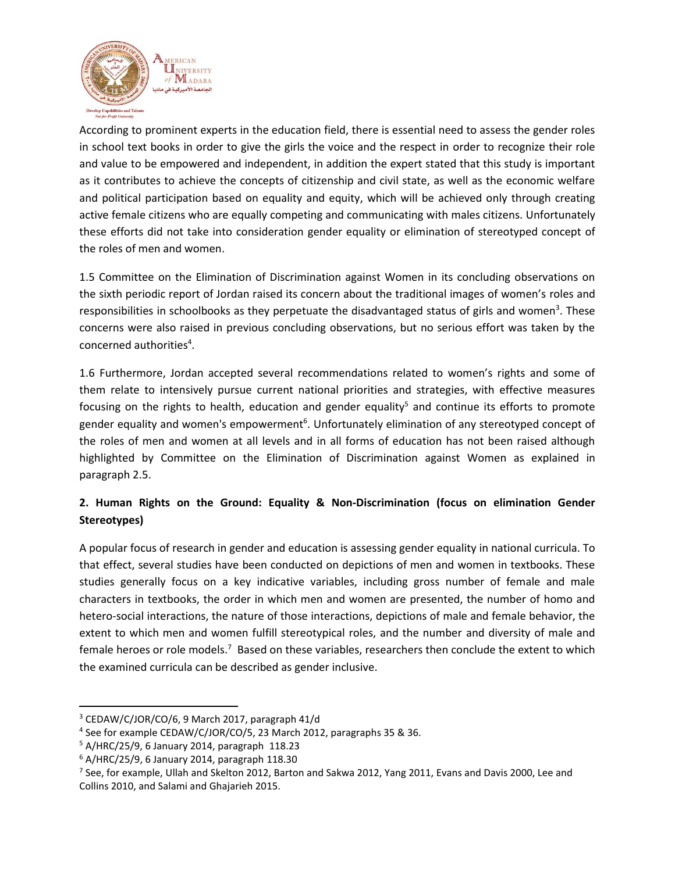

According to prominent experts in the education field, there is essential need to assess the gender roles in school text books in order to give the girls the voice and the respect in order to recognize their role and value to be empowered and independent, in addition the expert stated that this study is important as it contributes to achieve the concepts of citizenship and civil state, as well as the economic welfare and political participation based on equality and equity, which will be achieved only through creating active female citizens who are equally competing and communicating with males citizens. Unfortunately these efforts did not take into consideration gender equality or elimination of stereotyped concept of the roles of men and women.

1.5 Committee on the Elimination of Discrimination against Women in its concluding observations on the sixth periodic report of Jordan raised its concern about the traditional images of women's roles and responsibilities in schoolbooks as they perpetuate the disadvantaged status of girls and women<sup>3</sup>. These concerns were also raised in previous concluding observations, but no serious effort was taken by the concerned authorities<sup>4</sup>.

1.6 Furthermore, Jordan accepted several recommendations related to women's rights and some of them relate to intensively pursue current national priorities and strategies, with effective measures focusing on the rights to health, education and gender equality<sup>5</sup> and continue its efforts to promote gender equality and women's empowerment<sup>6</sup>. Unfortunately elimination of any stereotyped concept of the roles of men and women at all levels and in all forms of education has not been raised although highlighted by Committee on the Elimination of Discrimination against Women as explained in paragraph 2.5.

# **2. Human Rights on the Ground: Equality & Non-Discrimination (focus on elimination Gender Stereotypes)**

A popular focus of research in gender and education is assessing gender equality in national curricula. To that effect, several studies have been conducted on depictions of men and women in textbooks. These studies generally focus on a key indicative variables, including gross number of female and male characters in textbooks, the order in which men and women are presented, the number of homo and hetero-social interactions, the nature of those interactions, depictions of male and female behavior, the extent to which men and women fulfill stereotypical roles, and the number and diversity of male and female heroes or role models.<sup>7</sup> Based on these variables, researchers then conclude the extent to which the examined curricula can be described as gender inclusive.

l

<sup>3</sup> CEDAW/C/JOR/CO/6, 9 March 2017, paragraph 41/d

<sup>4</sup> See for example CEDAW/C/JOR/CO/5, 23 March 2012, paragraphs 35 & 36.

 $5$  A/HRC/25/9, 6 January 2014, paragraph 118.23

<sup>6</sup> A/HRC/25/9, 6 January 2014, paragraph 118.30

 $^7$  See, for example, Ullah and Skelton 2012, Barton and Sakwa 2012, Yang 2011, Evans and Davis 2000, Lee and Collins 2010, and Salami and Ghajarieh 2015.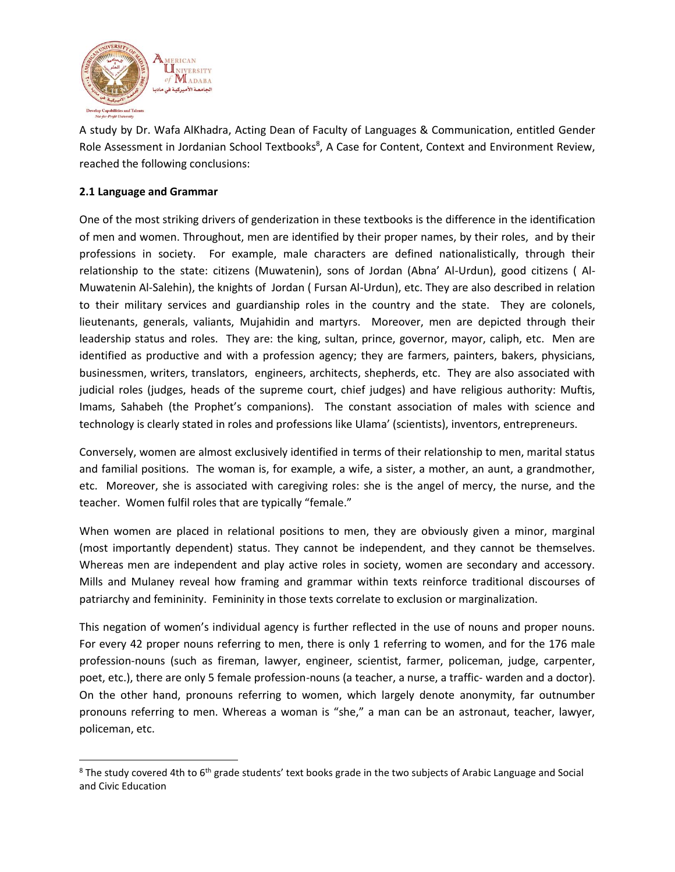

A study by Dr. Wafa AlKhadra, Acting Dean of Faculty of Languages & Communication, entitled Gender Role Assessment in Jordanian School Textbooks<sup>8</sup>, A Case for Content, Context and Environment Review, reached the following conclusions:

### **2.1 Language and Grammar**

 $\overline{\phantom{a}}$ 

One of the most striking drivers of genderization in these textbooks is the difference in the identification of men and women. Throughout, men are identified by their proper names, by their roles, and by their professions in society. For example, male characters are defined nationalistically, through their relationship to the state: citizens (Muwatenin), sons of Jordan (Abna' Al-Urdun), good citizens ( Al-Muwatenin Al-Salehin), the knights of Jordan ( Fursan Al-Urdun), etc. They are also described in relation to their military services and guardianship roles in the country and the state. They are colonels, lieutenants, generals, valiants, Mujahidin and martyrs. Moreover, men are depicted through their leadership status and roles. They are: the king, sultan, prince, governor, mayor, caliph, etc. Men are identified as productive and with a profession agency; they are farmers, painters, bakers, physicians, businessmen, writers, translators, engineers, architects, shepherds, etc. They are also associated with judicial roles (judges, heads of the supreme court, chief judges) and have religious authority: Muftis, Imams, Sahabeh (the Prophet's companions). The constant association of males with science and technology is clearly stated in roles and professions like Ulama' (scientists), inventors, entrepreneurs.

Conversely, women are almost exclusively identified in terms of their relationship to men, marital status and familial positions. The woman is, for example, a wife, a sister, a mother, an aunt, a grandmother, etc. Moreover, she is associated with caregiving roles: she is the angel of mercy, the nurse, and the teacher. Women fulfil roles that are typically "female."

When women are placed in relational positions to men, they are obviously given a minor, marginal (most importantly dependent) status. They cannot be independent, and they cannot be themselves. Whereas men are independent and play active roles in society, women are secondary and accessory. Mills and Mulaney reveal how framing and grammar within texts reinforce traditional discourses of patriarchy and femininity. Femininity in those texts correlate to exclusion or marginalization.

This negation of women's individual agency is further reflected in the use of nouns and proper nouns. For every 42 proper nouns referring to men, there is only 1 referring to women, and for the 176 male profession-nouns (such as fireman, lawyer, engineer, scientist, farmer, policeman, judge, carpenter, poet, etc.), there are only 5 female profession-nouns (a teacher, a nurse, a traffic- warden and a doctor). On the other hand, pronouns referring to women, which largely denote anonymity, far outnumber pronouns referring to men. Whereas a woman is "she," a man can be an astronaut, teacher, lawyer, policeman, etc.

 $8$  The study covered 4th to 6<sup>th</sup> grade students' text books grade in the two subjects of Arabic Language and Social and Civic Education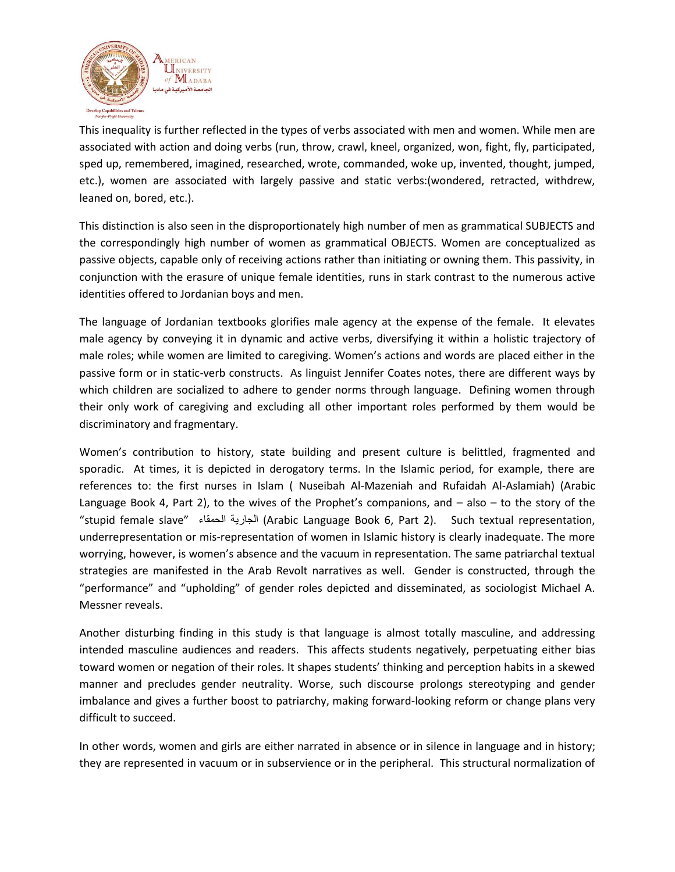

This inequality is further reflected in the types of verbs associated with men and women. While men are associated with action and doing verbs (run, throw, crawl, kneel, organized, won, fight, fly, participated, sped up, remembered, imagined, researched, wrote, commanded, woke up, invented, thought, jumped, etc.), women are associated with largely passive and static verbs:(wondered, retracted, withdrew, leaned on, bored, etc.).

This distinction is also seen in the disproportionately high number of men as grammatical SUBJECTS and the correspondingly high number of women as grammatical OBJECTS. Women are conceptualized as passive objects, capable only of receiving actions rather than initiating or owning them. This passivity, in conjunction with the erasure of unique female identities, runs in stark contrast to the numerous active identities offered to Jordanian boys and men.

The language of Jordanian textbooks glorifies male agency at the expense of the female. It elevates male agency by conveying it in dynamic and active verbs, diversifying it within a holistic trajectory of male roles; while women are limited to caregiving. Women's actions and words are placed either in the passive form or in static-verb constructs. As linguist Jennifer Coates notes, there are different ways by which children are socialized to adhere to gender norms through language. Defining women through their only work of caregiving and excluding all other important roles performed by them would be discriminatory and fragmentary.

Women's contribution to history, state building and present culture is belittled, fragmented and sporadic. At times, it is depicted in derogatory terms. In the Islamic period, for example, there are references to: the first nurses in Islam ( Nuseibah Al-Mazeniah and Rufaidah Al-Aslamiah) (Arabic Language Book 4, Part 2), to the wives of the Prophet's companions, and – also – to the story of the "stupid female slave" الحمقاء الجارية) Arabic Language Book 6, Part 2). Such textual representation, underrepresentation or mis-representation of women in Islamic history is clearly inadequate. The more worrying, however, is women's absence and the vacuum in representation. The same patriarchal textual strategies are manifested in the Arab Revolt narratives as well. Gender is constructed, through the "performance" and "upholding" of gender roles depicted and disseminated, as sociologist Michael A. Messner reveals.

Another disturbing finding in this study is that language is almost totally masculine, and addressing intended masculine audiences and readers. This affects students negatively, perpetuating either bias toward women or negation of their roles. It shapes students' thinking and perception habits in a skewed manner and precludes gender neutrality. Worse, such discourse prolongs stereotyping and gender imbalance and gives a further boost to patriarchy, making forward-looking reform or change plans very difficult to succeed.

In other words, women and girls are either narrated in absence or in silence in language and in history; they are represented in vacuum or in subservience or in the peripheral. This structural normalization of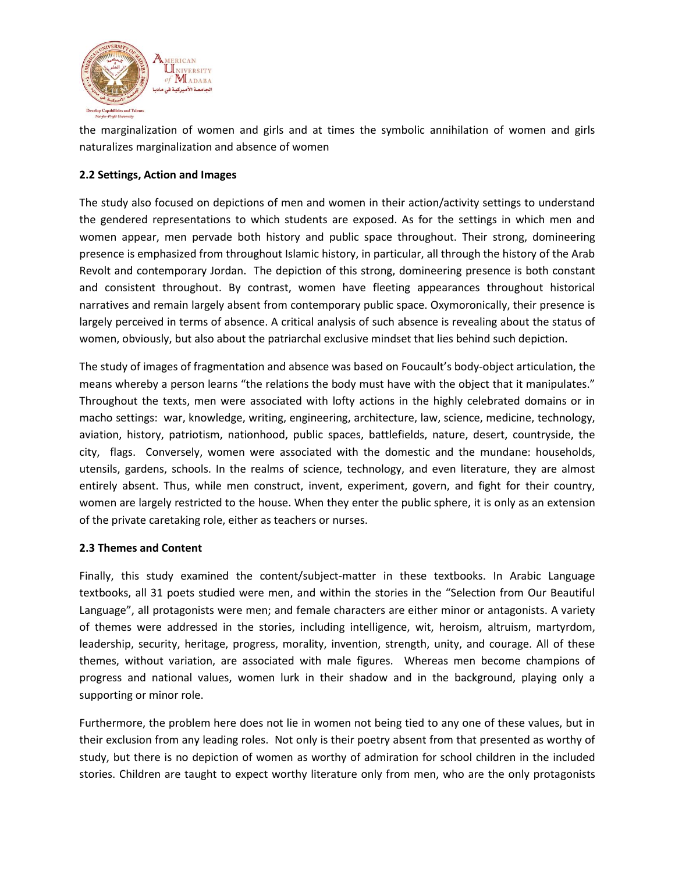

the marginalization of women and girls and at times the symbolic annihilation of women and girls naturalizes marginalization and absence of women

## **2.2 Settings, Action and Images**

The study also focused on depictions of men and women in their action/activity settings to understand the gendered representations to which students are exposed. As for the settings in which men and women appear, men pervade both history and public space throughout. Their strong, domineering presence is emphasized from throughout Islamic history, in particular, all through the history of the Arab Revolt and contemporary Jordan. The depiction of this strong, domineering presence is both constant and consistent throughout. By contrast, women have fleeting appearances throughout historical narratives and remain largely absent from contemporary public space. Oxymoronically, their presence is largely perceived in terms of absence. A critical analysis of such absence is revealing about the status of women, obviously, but also about the patriarchal exclusive mindset that lies behind such depiction.

The study of images of fragmentation and absence was based on Foucault's body-object articulation, the means whereby a person learns "the relations the body must have with the object that it manipulates." Throughout the texts, men were associated with lofty actions in the highly celebrated domains or in macho settings: war, knowledge, writing, engineering, architecture, law, science, medicine, technology, aviation, history, patriotism, nationhood, public spaces, battlefields, nature, desert, countryside, the city, flags. Conversely, women were associated with the domestic and the mundane: households, utensils, gardens, schools. In the realms of science, technology, and even literature, they are almost entirely absent. Thus, while men construct, invent, experiment, govern, and fight for their country, women are largely restricted to the house. When they enter the public sphere, it is only as an extension of the private caretaking role, either as teachers or nurses.

#### **2.3 Themes and Content**

Finally, this study examined the content/subject-matter in these textbooks. In Arabic Language textbooks, all 31 poets studied were men, and within the stories in the "Selection from Our Beautiful Language", all protagonists were men; and female characters are either minor or antagonists. A variety of themes were addressed in the stories, including intelligence, wit, heroism, altruism, martyrdom, leadership, security, heritage, progress, morality, invention, strength, unity, and courage. All of these themes, without variation, are associated with male figures. Whereas men become champions of progress and national values, women lurk in their shadow and in the background, playing only a supporting or minor role.

Furthermore, the problem here does not lie in women not being tied to any one of these values, but in their exclusion from any leading roles. Not only is their poetry absent from that presented as worthy of study, but there is no depiction of women as worthy of admiration for school children in the included stories. Children are taught to expect worthy literature only from men, who are the only protagonists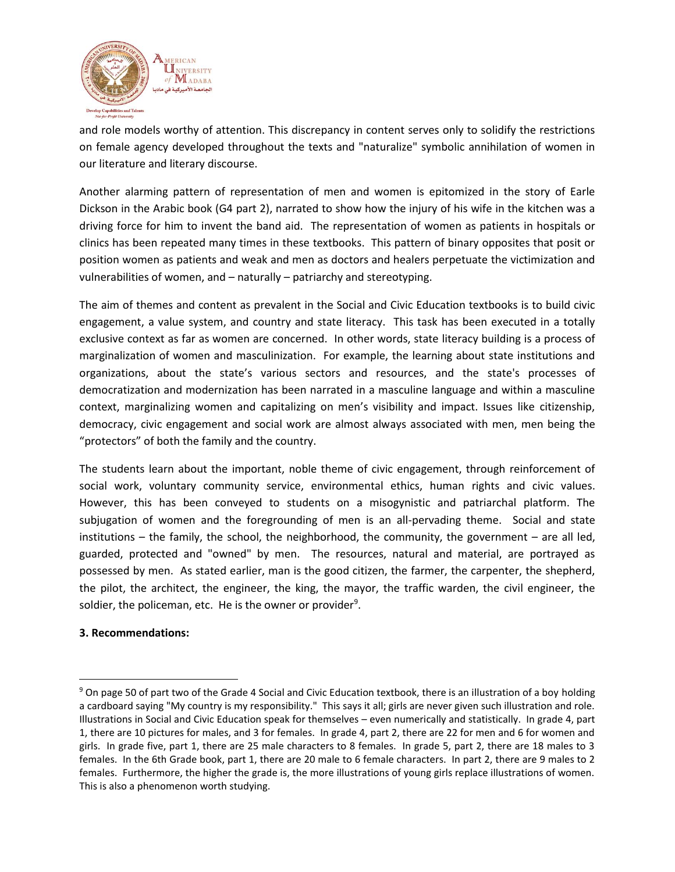

and role models worthy of attention. This discrepancy in content serves only to solidify the restrictions on female agency developed throughout the texts and "naturalize" symbolic annihilation of women in our literature and literary discourse.

Another alarming pattern of representation of men and women is epitomized in the story of Earle Dickson in the Arabic book (G4 part 2), narrated to show how the injury of his wife in the kitchen was a driving force for him to invent the band aid. The representation of women as patients in hospitals or clinics has been repeated many times in these textbooks. This pattern of binary opposites that posit or position women as patients and weak and men as doctors and healers perpetuate the victimization and vulnerabilities of women, and – naturally – patriarchy and stereotyping.

The aim of themes and content as prevalent in the Social and Civic Education textbooks is to build civic engagement, a value system, and country and state literacy. This task has been executed in a totally exclusive context as far as women are concerned. In other words, state literacy building is a process of marginalization of women and masculinization. For example, the learning about state institutions and organizations, about the state's various sectors and resources, and the state's processes of democratization and modernization has been narrated in a masculine language and within a masculine context, marginalizing women and capitalizing on men's visibility and impact. Issues like citizenship, democracy, civic engagement and social work are almost always associated with men, men being the "protectors" of both the family and the country.

The students learn about the important, noble theme of civic engagement, through reinforcement of social work, voluntary community service, environmental ethics, human rights and civic values. However, this has been conveyed to students on a misogynistic and patriarchal platform. The subjugation of women and the foregrounding of men is an all-pervading theme. Social and state institutions  $-$  the family, the school, the neighborhood, the community, the government  $-$  are all led, guarded, protected and "owned" by men. The resources, natural and material, are portrayed as possessed by men. As stated earlier, man is the good citizen, the farmer, the carpenter, the shepherd, the pilot, the architect, the engineer, the king, the mayor, the traffic warden, the civil engineer, the soldier, the policeman, etc. He is the owner or provider $9$ .

#### **3. Recommendations:**

 $\overline{a}$ 

<sup>&</sup>lt;sup>9</sup> On page 50 of part two of the Grade 4 Social and Civic Education textbook, there is an illustration of a boy holding a cardboard saying "My country is my responsibility." This says it all; girls are never given such illustration and role. Illustrations in Social and Civic Education speak for themselves – even numerically and statistically. In grade 4, part 1, there are 10 pictures for males, and 3 for females. In grade 4, part 2, there are 22 for men and 6 for women and girls. In grade five, part 1, there are 25 male characters to 8 females. In grade 5, part 2, there are 18 males to 3 females. In the 6th Grade book, part 1, there are 20 male to 6 female characters. In part 2, there are 9 males to 2 females. Furthermore, the higher the grade is, the more illustrations of young girls replace illustrations of women. This is also a phenomenon worth studying.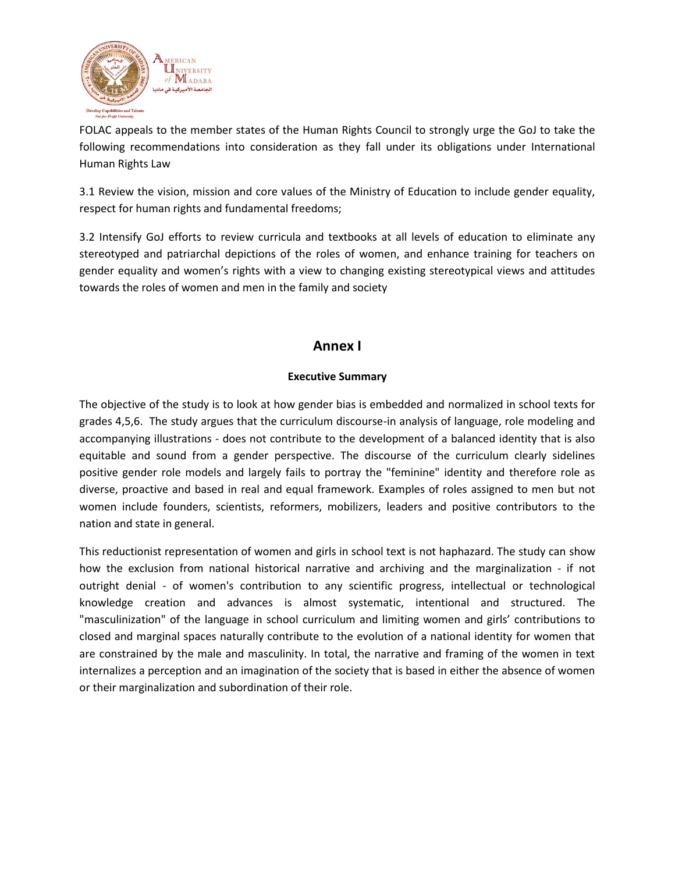

FOLAC appeals to the member states of the Human Rights Council to strongly urge the GoJ to take the following recommendations into consideration as they fall under its obligations under International Human Rights Law

3.1 Review the vision, mission and core values of the Ministry of Education to include gender equality, respect for human rights and fundamental freedoms;

3.2 Intensify GoJ efforts to review curricula and textbooks at all levels of education to eliminate any stereotyped and patriarchal depictions of the roles of women, and enhance training for teachers on gender equality and women's rights with a view to changing existing stereotypical views and attitudes towards the roles of women and men in the family and society

# **Annex I**

# **Executive Summary**

The objective of the study is to look at how gender bias is embedded and normalized in school texts for grades 4,5,6. The study argues that the curriculum discourse-in analysis of language, role modeling and accompanying illustrations - does not contribute to the development of a balanced identity that is also equitable and sound from a gender perspective. The discourse of the curriculum clearly sidelines positive gender role models and largely fails to portray the "feminine" identity and therefore role as diverse, proactive and based in real and equal framework. Examples of roles assigned to men but not women include founders, scientists, reformers, mobilizers, leaders and positive contributors to the nation and state in general.

This reductionist representation of women and girls in school text is not haphazard. The study can show how the exclusion from national historical narrative and archiving and the marginalization - if not outright denial - of women's contribution to any scientific progress, intellectual or technological knowledge creation and advances is almost systematic, intentional and structured. The "masculinization" of the language in school curriculum and limiting women and girls' contributions to closed and marginal spaces naturally contribute to the evolution of a national identity for women that are constrained by the male and masculinity. In total, the narrative and framing of the women in text internalizes a perception and an imagination of the society that is based in either the absence of women or their marginalization and subordination of their role.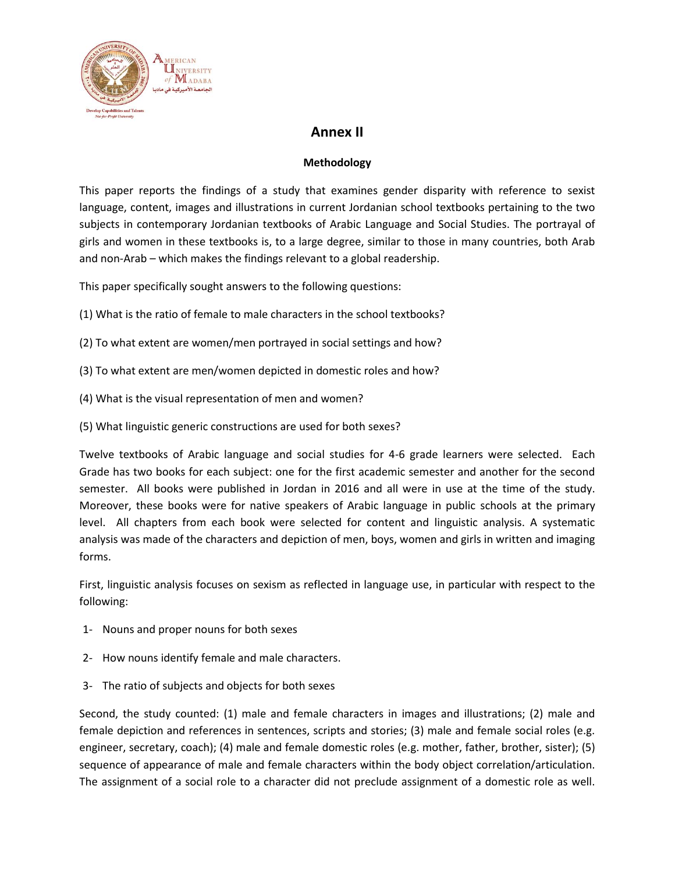

# **Annex II**

# **Methodology**

This paper reports the findings of a study that examines gender disparity with reference to sexist language, content, images and illustrations in current Jordanian school textbooks pertaining to the two subjects in contemporary Jordanian textbooks of Arabic Language and Social Studies. The portrayal of girls and women in these textbooks is, to a large degree, similar to those in many countries, both Arab and non-Arab – which makes the findings relevant to a global readership.

This paper specifically sought answers to the following questions:

- (1) What is the ratio of female to male characters in the school textbooks?
- (2) To what extent are women/men portrayed in social settings and how?
- (3) To what extent are men/women depicted in domestic roles and how?
- (4) What is the visual representation of men and women?
- (5) What linguistic generic constructions are used for both sexes?

Twelve textbooks of Arabic language and social studies for 4-6 grade learners were selected. Each Grade has two books for each subject: one for the first academic semester and another for the second semester. All books were published in Jordan in 2016 and all were in use at the time of the study. Moreover, these books were for native speakers of Arabic language in public schools at the primary level. All chapters from each book were selected for content and linguistic analysis. A systematic analysis was made of the characters and depiction of men, boys, women and girls in written and imaging forms.

First, linguistic analysis focuses on sexism as reflected in language use, in particular with respect to the following:

- 1- Nouns and proper nouns for both sexes
- 2- How nouns identify female and male characters.
- 3- The ratio of subjects and objects for both sexes

Second, the study counted: (1) male and female characters in images and illustrations; (2) male and female depiction and references in sentences, scripts and stories; (3) male and female social roles (e.g. engineer, secretary, coach); (4) male and female domestic roles (e.g. mother, father, brother, sister); (5) sequence of appearance of male and female characters within the body object correlation/articulation. The assignment of a social role to a character did not preclude assignment of a domestic role as well.